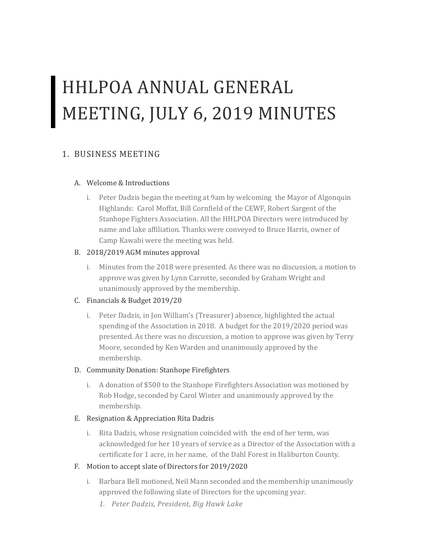# HHLPOA ANNUAL GENERAL MEETING, JULY 6, 2019 MINUTES

## 1. BUSINESS MEETING

#### A. Welcome & Introductions

i. Peter Dadzis began the meeting at 9am by welcoming the Mayor of Algonquin Highlands: Carol Moffat, Bill Cornfield of the CEWF, Robert Sargent of the Stanhope Fighters Association. All the HHLPOA Directors were introduced by name and lake affiliation. Thanks were conveyed to Bruce Harris, owner of Camp Kawabi were the meeting was held.

#### B. 2018/2019 AGM minutes approval

i. Minutes from the 2018 were presented. As there was no discussion, a motion to approve was given by Lynn Carrotte, seconded by Graham Wright and unanimously approved by the membership.

#### C. Financials & Budget 2019/20

i. Peter Dadzis, in Jon William's (Treasurer) absence, highlighted the actual spending of the Association in 2018. A budget for the 2019/2020 period was presented. As there was no discussion, a motion to approve was given by Terry Moore, seconded by Ken Warden and unanimously approved by the membership.

#### D. Community Donation: Stanhope Firefighters

i. A donation of \$500 to the Stanhope Firefighters Association was motioned by Rob Hodge, seconded by Carol Winter and unanimously approved by the membership.

#### E. Resignation & Appreciation Rita Dadzis

i. Rita Dadzis, whose resignation coincided with the end of her term, was acknowledged for her 10 years of service as a Director of the Association with a certificate for 1 acre, in her name, of the Dahl Forest in Haliburton County.

#### F. Motion to accept slate of Directors for 2019/2020

- i. Barbara Bell motioned, Neil Mann seconded and the membership unanimously approved the following slate of Directors for the upcoming year.
	- *1. Peter Dadzis, President, Big Hawk Lake*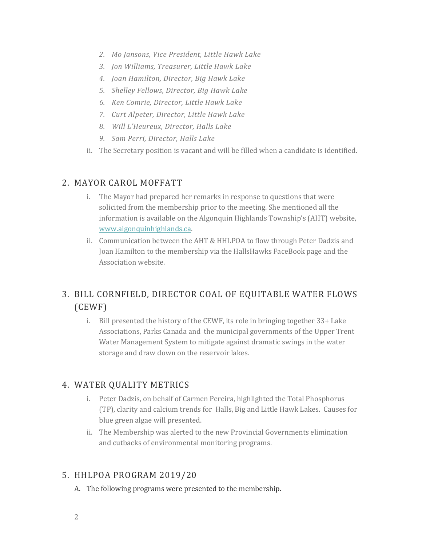- *2. Mo Jansons, Vice President, Little Hawk Lake*
- *3. Jon Williams, Treasurer, Little Hawk Lake*
- *4. Joan Hamilton, Director, Big Hawk Lake*
- *5. Shelley Fellows, Director, Big Hawk Lake*
- *6. Ken Comrie, Director, Little Hawk Lake*
- *7. Curt Alpeter, Director, Little Hawk Lake*
- *8. Will L'Heureux, Director, Halls Lake*
- *9. Sam Perri, Director, Halls Lake*
- ii. The Secretary position is vacant and will be filled when a candidate is identified.

#### 2. MAYOR CAROL MOFFATT

- i. The Mayor had prepared her remarks in response to questions that were solicited from the membership prior to the meeting. She mentioned all the information is available on the Algonquin Highlands Township's (AHT) website, www.algonquinhighlands.ca.<br>ii. Communication between the AHT & HHLPOA to flow through Peter Dadzis and
- Joan Hamilton to the membership via the HallsHawks FaceBook page and the Association website.

# 3. BILL CORNFIELD, DIRECTOR COAL OF EQUITABLE WATER FLOWS (CEWF)

i. Bill presented the history of the CEWF, its role in bringing together 33+ Lake Associations, Parks Canada and the municipal governments of the Upper Trent Water Management System to mitigate against dramatic swings in the water storage and draw down on the reservoir lakes.

### 4. WATER QUALITY METRICS

- i. Peter Dadzis, on behalf of Carmen Pereira, highlighted the Total Phosphorus (TP), clarity and calcium trends for Halls, Big and Little Hawk Lakes. Causes for blue green algae will presented.
- ii. The Membership was alerted to the new Provincial Governments elimination and cutbacks of environmental monitoring programs.

### 5. HHLPOA PROGRAM 2019/20

A. The following programs were presented to the membership.